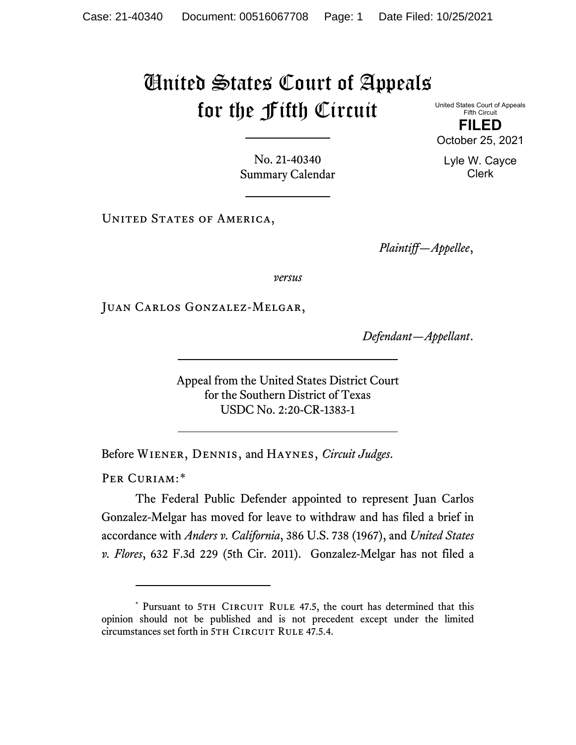## United States Court of Appeals for the Fifth Circuit

United States Court of Appeals Fifth Circuit

**FILED** October 25, 2021

No. 21-40340 Summary Calendar

UNITED STATES OF AMERICA,

*Plaintiff—Appellee*,

*versus*

Juan Carlos Gonzalez-Melgar,

*Defendant—Appellant*.

Appeal from the United States District Court for the Southern District of Texas USDC No. 2:20-CR-1383-1

Before Wiener, Dennis, and Haynes, *Circuit Judges*.

PER CURIAM:[\\*](#page-0-0)

The Federal Public Defender appointed to represent Juan Carlos Gonzalez-Melgar has moved for leave to withdraw and has filed a brief in accordance with *Anders v. California*, 386 U.S. 738 (1967), and *United States v. Flores*, 632 F.3d 229 (5th Cir. 2011). Gonzalez-Melgar has not filed a

Lyle W. Cayce Clerk

<span id="page-0-0"></span><sup>\*</sup> Pursuant to 5TH CIRCUIT RULE 47.5, the court has determined that this opinion should not be published and is not precedent except under the limited circumstances set forth in 5TH CIRCUIT RULE 47.5.4.